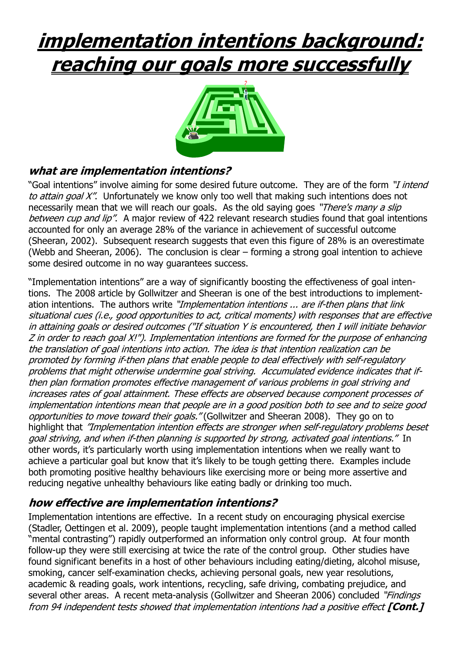## **implementation intentions background: reaching our goals more successfully**



## **what are implementation intentions?**

"Goal intentions" involve aiming for some desired future outcome. They are of the form "*I intend*" to attain goal X". Unfortunately we know only too well that making such intentions does not necessarily mean that we will reach our goals. As the old saying goes "There's many a slip between cup and lip". A major review of 422 relevant research studies found that goal intentions accounted for only an average 28% of the variance in achievement of successful outcome (Sheeran, 2002). Subsequent research suggests that even this figure of 28% is an overestimate (Webb and Sheeran, 2006). The conclusion is clear – forming a strong goal intention to achieve some desired outcome in no way guarantees success.

"Implementation intentions" are a way of significantly boosting the effectiveness of goal intentions. The 2008 article by Gollwitzer and Sheeran is one of the best introductions to implementation intentions. The authors write "*Implementation intentions ... are if-then plans that link* situational cues (i.e., good opportunities to act, critical moments) with responses that are effective in attaining goals or desired outcomes ("If situation Y is encountered, then I will initiate behavior Z in order to reach goal X!"). Implementation intentions are formed for the purpose of enhancing the translation of goal intentions into action. The idea is that intention realization can be promoted by forming if-then plans that enable people to deal effectively with self-regulatory problems that might otherwise undermine goal striving. Accumulated evidence indicates that ifthen plan formation promotes effective management of various problems in goal striving and increases rates of goal attainment. These effects are observed because component processes of implementation intentions mean that people are in a good position both to see and to seize good opportunities to move toward their goals." (Gollwitzer and Sheeran 2008). They go on to highlight that "Implementation intention effects are stronger when self-regulatory problems beset goal striving, and when if-then planning is supported by strong, activated goal intentions." In other words, it's particularly worth using implementation intentions when we really want to achieve a particular goal but know that it's likely to be tough getting there. Examples include both promoting positive healthy behaviours like exercising more or being more assertive and reducing negative unhealthy behaviours like eating badly or drinking too much.

## **how effective are implementation intentions?**

Implementation intentions are effective. In a recent study on encouraging physical exercise (Stadler, Oettingen et al. 2009), people taught implementation intentions (and a method called "mental contrasting") rapidly outperformed an information only control group. At four month follow-up they were still exercising at twice the rate of the control group. Other studies have found significant benefits in a host of other behaviours including eating/dieting, alcohol misuse, smoking, cancer self-examination checks, achieving personal goals, new year resolutions, academic & reading goals, work intentions, recycling, safe driving, combating prejudice, and several other areas. A recent meta-analysis (Gollwitzer and Sheeran 2006) concluded "Findings from 94 independent tests showed that implementation intentions had a positive effect **[Cont.]**